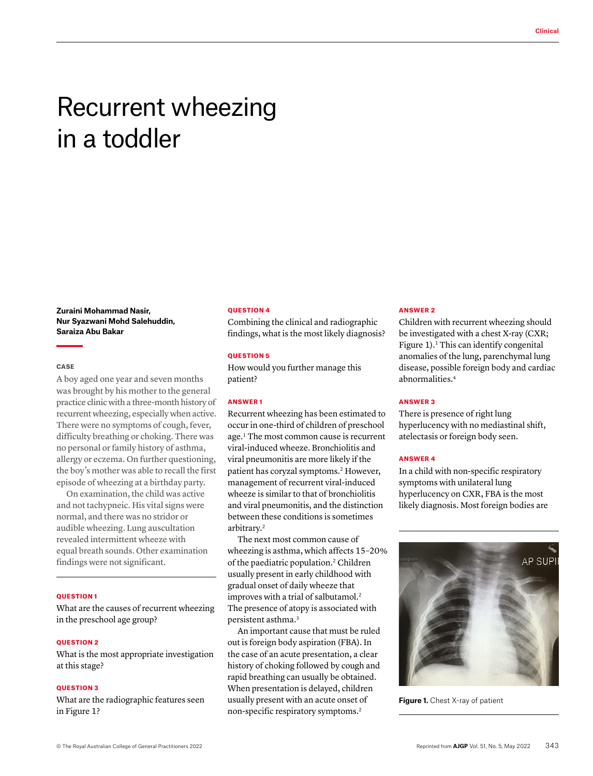# Recurrent wheezing in a toddler

**Zuraini Mohammad Nasir, Nur Syazwani Mohd Salehuddin, Saraiza Abu Bakar**

## **CASE**

A boy aged one year and seven months was brought by his mother to the general practice clinic with a three-month history of recurrent wheezing, especially when active. There were no symptoms of cough, fever, difficulty breathing or choking. There was no personal or family history of asthma, allergy or eczema. On further questioning, the boy's mother was able to recall the first episode of wheezing at a birthday party.

On examination, the child was active and not tachypneic. His vital signs were normal, and there was no stridor or audible wheezing. Lung auscultation revealed intermittent wheeze with equal breath sounds. Other examination findings were not significant.

#### QUESTION 1

What are the causes of recurrent wheezing in the preschool age group?

#### **OUESTION 2**

What is the most appropriate investigation at this stage?

### QUESTION 3

What are the radiographic features seen in Figure 1?

#### QUESTION 4

Combining the clinical and radiographic findings, what is the most likely diagnosis?

#### QUESTION 5

How would you further manage this patient?

## ANSWER 1

Recurrent wheezing has been estimated to occur in one-third of children of preschool age.1 The most common cause is recurrent viral-induced wheeze. Bronchiolitis and viral pneumonitis are more likely if the patient has coryzal symptoms.<sup>2</sup> However, management of recurrent viral-induced wheeze is similar to that of bronchiolitis and viral pneumonitis, and the distinction between these conditions is sometimes arbitrary.2

The next most common cause of wheezing is asthma, which affects 15–20% of the paediatric population.2 Children usually present in early childhood with gradual onset of daily wheeze that improves with a trial of salbutamol.<sup>2</sup> The presence of atopy is associated with persistent asthma.3

An important cause that must be ruled out is foreign body aspiration (FBA). In the case of an acute presentation, a clear history of choking followed by cough and rapid breathing can usually be obtained. When presentation is delayed, children usually present with an acute onset of non-specific respiratory symptoms.2

#### ANSWER 2

Children with recurrent wheezing should be investigated with a chest X-ray (CXR; Figure 1). $<sup>1</sup>$  This can identify congenital</sup> anomalies of the lung, parenchymal lung disease, possible foreign body and cardiac abnormalities.4

#### ANSWER 3

There is presence of right lung hyperlucency with no mediastinal shift, atelectasis or foreign body seen.

#### ANSWER 4

In a child with non-specific respiratory symptoms with unilateral lung hyperlucency on CXR, FBA is the most likely diagnosis. Most foreign bodies are



**Figure 1.** Chest X-ray of patient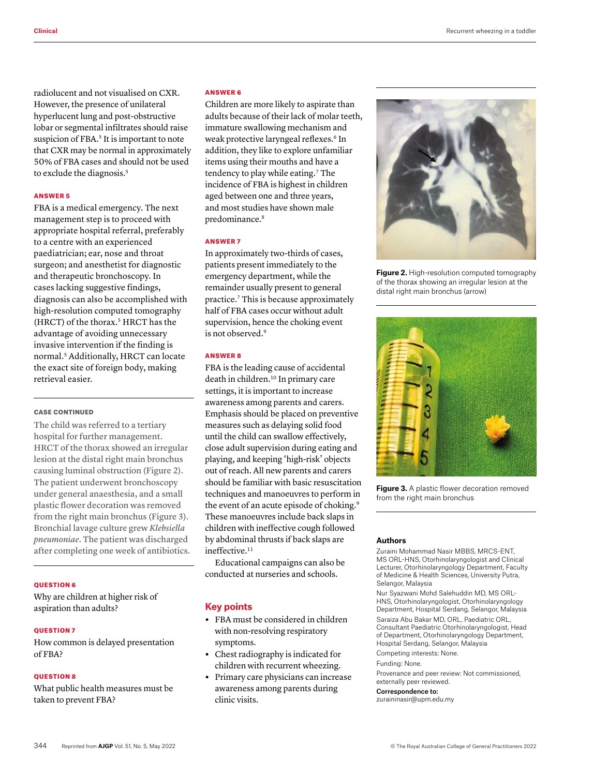radiolucent and not visualised on CXR. However, the presence of unilateral hyperlucent lung and post-obstructive lobar or segmental infiltrates should raise suspicion of FBA.<sup>5</sup> It is important to note that CXR may be normal in approximately 50% of FBA cases and should not be used to exclude the diagnosis.<sup>5</sup>

#### ANSWER 5

FBA is a medical emergency. The next management step is to proceed with appropriate hospital referral, preferably to a centre with an experienced paediatrician; ear, nose and throat surgeon; and anesthetist for diagnostic and therapeutic bronchoscopy. In cases lacking suggestive findings, diagnosis can also be accomplished with high-resolution computed tomography (HRCT) of the thorax.<sup>5</sup> HRCT has the advantage of avoiding unnecessary invasive intervention if the finding is normal.5 Additionally, HRCT can locate the exact site of foreign body, making retrieval easier.

## CASE CONTINUED

The child was referred to a tertiary hospital for further management. HRCT of the thorax showed an irregular lesion at the distal right main bronchus causing luminal obstruction (Figure 2). The patient underwent bronchoscopy under general anaesthesia, and a small plastic flower decoration was removed from the right main bronchus (Figure 3). Bronchial lavage culture grew *Klebsiella pneumoniae*. The patient was discharged after completing one week of antibiotics.

## **OUESTION 6**

Why are children at higher risk of aspiration than adults?

## QUESTION 7

How common is delayed presentation of FBA?

#### QUESTION 8

What public health measures must be taken to prevent FBA?

## ANSWER 6

Children are more likely to aspirate than adults because of their lack of molar teeth, immature swallowing mechanism and weak protective laryngeal reflexes.<sup>6</sup> In addition, they like to explore unfamiliar items using their mouths and have a tendency to play while eating.<sup>7</sup> The incidence of FBA is highest in children aged between one and three years, and most studies have shown male predominance.<sup>8</sup>

#### ANSWER 7

In approximately two-thirds of cases, patients present immediately to the emergency department, while the remainder usually present to general practice.7 This is because approximately half of FBA cases occur without adult supervision, hence the choking event is not observed.<sup>9</sup>

## ANSWER 8

FBA is the leading cause of accidental death in children.10 In primary care settings, it is important to increase awareness among parents and carers. Emphasis should be placed on preventive measures such as delaying solid food until the child can swallow effectively, close adult supervision during eating and playing, and keeping 'high-risk' objects out of reach. All new parents and carers should be familiar with basic resuscitation techniques and manoeuvres to perform in the event of an acute episode of choking.<sup>9</sup> These manoeuvres include back slaps in children with ineffective cough followed by abdominal thrusts if back slaps are ineffective.<sup>11</sup>

Educational campaigns can also be conducted at nurseries and schools.

# **Key points**

- **•** FBA must be considered in children with non-resolving respiratory symptoms.
- **•** Chest radiography is indicated for children with recurrent wheezing.
- **•** Primary care physicians can increase awareness among parents during clinic visits.



**Figure 2.** High-resolution computed tomography of the thorax showing an irregular lesion at the distal right main bronchus (arrow)



**Figure 3.** A plastic flower decoration removed from the right main bronchus

### **Authors**

Zuraini Mohammad Nasir MBBS, MRCS-ENT, MS ORL-HNS, Otorhinolaryngologist and Clinical Lecturer, Otorhinolaryngology Department, Faculty of Medicine & Health Sciences, University Putra, Selangor, Malaysia

Nur Syazwani Mohd Salehuddin MD, MS ORL-HNS, Otorhinolaryngologist, Otorhinolaryngology Department, Hospital Serdang, Selangor, Malaysia Saraiza Abu Bakar MD, ORL, Paediatric ORL, Consultant Paediatric Otorhinolaryngologist, Head of Department, Otorhinolaryngology Department, Hospital Serdang, Selangor, Malaysia

Competing interests: None.

Funding: None.

Provenance and peer review: Not commissioned, externally peer reviewed.

### Correspondence to:

[zuraininasir@upm.edu.my](mailto:zuraininasir@upm.edu.my)